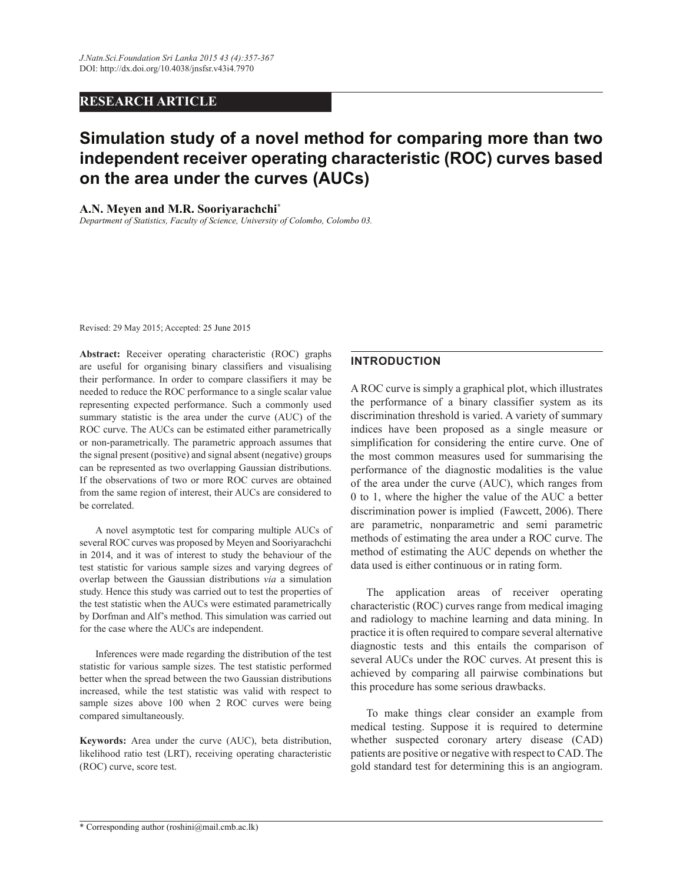# **RESEARCH ARTICLE**

# **Simulation study of a novel method for comparing more than two independent receiver operating characteristic (ROC) curves based on the area under the curves (AUCs)**

#### **A.N. Meyen and M.R. Sooriyarachchi\***

*Department of Statistics, Faculty of Science, University of Colombo, Colombo 03.*

Revised: 29 May 2015; Accepted: 25 June 2015

**Abstract:** Receiver operating characteristic (ROC) graphs are useful for organising binary classifiers and visualising their performance. In order to compare classifiers it may be needed to reduce the ROC performance to a single scalar value representing expected performance. Such a commonly used summary statistic is the area under the curve (AUC) of the ROC curve. The AUCs can be estimated either parametrically or non-parametrically. The parametric approach assumes that the signal present (positive) and signal absent (negative) groups can be represented as two overlapping Gaussian distributions. If the observations of two or more ROC curves are obtained from the same region of interest, their AUCs are considered to be correlated.

 A novel asymptotic test for comparing multiple AUCs of several ROC curves was proposed by Meyen and Sooriyarachchi in 2014, and it was of interest to study the behaviour of the test statistic for various sample sizes and varying degrees of overlap between the Gaussian distributions *via* a simulation study. Hence this study was carried out to test the properties of the test statistic when the AUCs were estimated parametrically by Dorfman and Alf's method. This simulation was carried out for the case where the AUCs are independent.

 Inferences were made regarding the distribution of the test statistic for various sample sizes. The test statistic performed better when the spread between the two Gaussian distributions increased, while the test statistic was valid with respect to sample sizes above 100 when 2 ROC curves were being compared simultaneously.

**Keywords:** Area under the curve (AUC), beta distribution, likelihood ratio test (LRT), receiving operating characteristic (ROC) curve, score test.

## **INTRODUCTION**

A ROC curve is simply a graphical plot, which illustrates the performance of a binary classifier system as its discrimination threshold is varied. A variety of summary indices have been proposed as a single measure or simplification for considering the entire curve. One of the most common measures used for summarising the performance of the diagnostic modalities is the value of the area under the curve (AUC), which ranges from 0 to 1, where the higher the value of the AUC a better discrimination power is implied (Fawcett, 2006). There are parametric, nonparametric and semi parametric methods of estimating the area under a ROC curve. The method of estimating the AUC depends on whether the data used is either continuous or in rating form.

 The application areas of receiver operating characteristic (ROC) curves range from medical imaging and radiology to machine learning and data mining. In practice it is often required to compare several alternative diagnostic tests and this entails the comparison of several AUCs under the ROC curves. At present this is achieved by comparing all pairwise combinations but this procedure has some serious drawbacks.

 To make things clear consider an example from medical testing. Suppose it is required to determine whether suspected coronary artery disease (CAD) patients are positive or negative with respect to CAD. The gold standard test for determining this is an angiogram.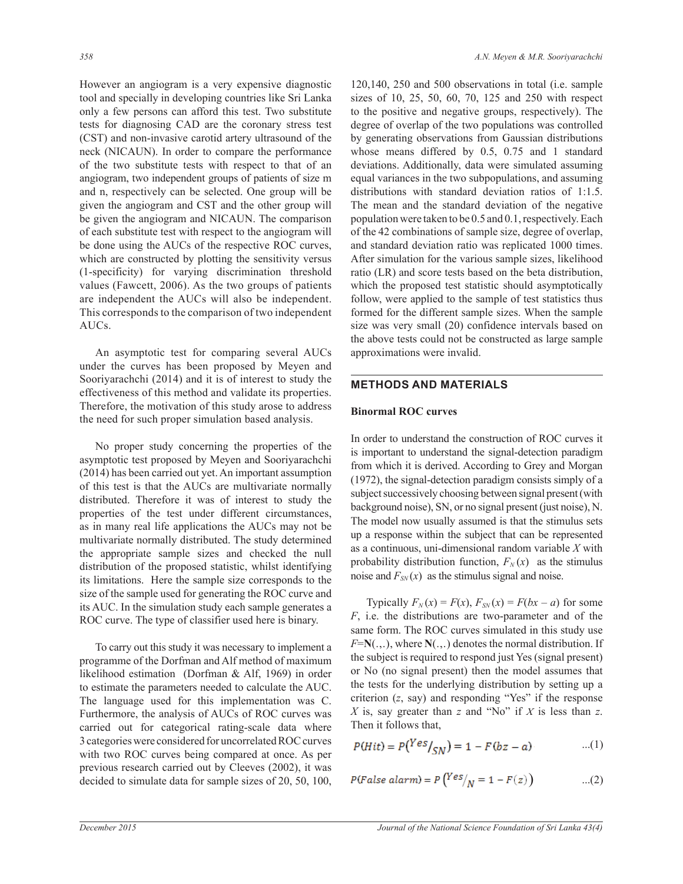However an angiogram is a very expensive diagnostic tool and specially in developing countries like Sri Lanka only a few persons can afford this test. Two substitute tests for diagnosing CAD are the coronary stress test (CST) and non-invasive carotid artery ultrasound of the neck (NICAUN). In order to compare the performance of the two substitute tests with respect to that of an angiogram, two independent groups of patients of size m and n, respectively can be selected. One group will be given the angiogram and CST and the other group will be given the angiogram and NICAUN. The comparison of each substitute test with respect to the angiogram will be done using the AUCs of the respective ROC curves, which are constructed by plotting the sensitivity versus (1-specificity) for varying discrimination threshold values (Fawcett, 2006). As the two groups of patients are independent the AUCs will also be independent. This corresponds to the comparison of two independent AUCs.

 An asymptotic test for comparing several AUCs under the curves has been proposed by Meyen and Sooriyarachchi (2014) and it is of interest to study the effectiveness of this method and validate its properties. Therefore, the motivation of this study arose to address the need for such proper simulation based analysis.

 No proper study concerning the properties of the asymptotic test proposed by Meyen and Sooriyarachchi (2014) has been carried out yet. An important assumption of this test is that the AUCs are multivariate normally distributed. Therefore it was of interest to study the properties of the test under different circumstances, as in many real life applications the AUCs may not be multivariate normally distributed. The study determined the appropriate sample sizes and checked the null distribution of the proposed statistic, whilst identifying its limitations. Here the sample size corresponds to the size of the sample used for generating the ROC curve and its AUC. In the simulation study each sample generates a ROC curve. The type of classifier used here is binary.

 To carry out this study it was necessary to implement a programme of the Dorfman and Alf method of maximum likelihood estimation (Dorfman & Alf, 1969) in order to estimate the parameters needed to calculate the AUC. The language used for this implementation was C. Furthermore, the analysis of AUCs of ROC curves was carried out for categorical rating-scale data where 3 categories were considered for uncorrelated ROC curves with two ROC curves being compared at once. As per previous research carried out by Cleeves (2002), it was decided to simulate data for sample sizes of 20, 50, 100, 120,140, 250 and 500 observations in total (i.e. sample sizes of 10, 25, 50, 60, 70, 125 and 250 with respect to the positive and negative groups, respectively). The degree of overlap of the two populations was controlled by generating observations from Gaussian distributions whose means differed by 0.5, 0.75 and 1 standard deviations. Additionally, data were simulated assuming equal variances in the two subpopulations, and assuming distributions with standard deviation ratios of 1:1.5. The mean and the standard deviation of the negative population were taken to be 0.5 and 0.1, respectively. Each of the 42 combinations of sample size, degree of overlap, and standard deviation ratio was replicated 1000 times. After simulation for the various sample sizes, likelihood ratio (LR) and score tests based on the beta distribution, which the proposed test statistic should asymptotically follow, were applied to the sample of test statistics thus formed for the different sample sizes. When the sample size was very small (20) confidence intervals based on the above tests could not be constructed as large sample approximations were invalid.

# **METHODS AND MATERIALS**

## **Binormal ROC curves**

In order to understand the construction of ROC curves it is important to understand the signal-detection paradigm from which it is derived. According to Grey and Morgan (1972), the signal-detection paradigm consists simply of a subject successively choosing between signal present (with background noise), SN, or no signal present (just noise), N. The model now usually assumed is that the stimulus sets up a response within the subject that can be represented as a continuous, uni-dimensional random variable *X* with probability distribution function,  $F_N(x)$  as the stimulus noise and  $F_{SN}(x)$  as the stimulus signal and noise.

Typically  $F_N(x) = F(x)$ ,  $F_{SN}(x) = F(bx - a)$  for some *F*, i.e. the distributions are two-parameter and of the same form. The ROC curves simulated in this study use *F*=**N**(.,.), where **N**(.,.) denotes the normal distribution. If the subject is required to respond just Yes (signal present) or No (no signal present) then the model assumes that the tests for the underlying distribution by setting up a criterion (*z*, say) and responding "Yes" if the response *X* is, say greater than *z* and "No" if *X* is less than *z*. Then it follows that,

$$
P(Hit) = P(Yes|_{SN}) = 1 - F(bz - a)
$$
...(1)

$$
P(False~alarm) = P\left(\frac{Yes}{N} = 1 - F(z)\right) \qquad ...(2)
$$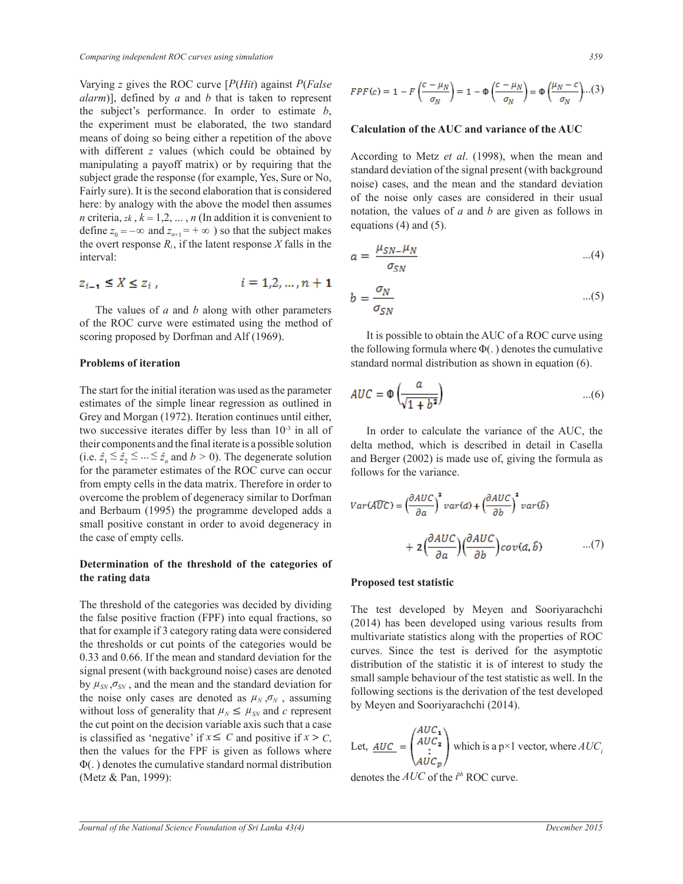Varying *z* gives the ROC curve [*P*(*Hit*) against *P*(*False alarm*)], defined by *a* and *b* that is taken to represent the subject's performance. In order to estimate *b*, the experiment must be elaborated, the two standard means of doing so being either a repetition of the above with different *z* values (which could be obtained by manipulating a payoff matrix) or by requiring that the subject grade the response (for example, Yes, Sure or No, Fairly sure). It is the second elaboration that is considered here: by analogy with the above the model then assumes *n* criteria,  $z^k$ ,  $k = 1, 2, ..., n$  (In addition it is convenient to define  $z_0 = -\infty$  and  $z_{n+1} = +\infty$  ) so that the subject makes the overt response  $R_i$ , if the latent response  $X$  falls in the interval:

$$
z_{i-1} \le X \le z_i
$$
,  $i = 1, 2, ..., n + 1$ 

 The values of *a* and *b* along with other parameters of the ROC curve were estimated using the method of scoring proposed by Dorfman and Alf (1969).

#### **Problems of iteration**

The start for the initial iteration was used as the parameter estimates of the simple linear regression as outlined in Grey and Morgan (1972). Iteration continues until either, two successive iterates differ by less than  $10^{-3}$  in all of their components and the final iterate is a possible solution (i.e.  $\hat{z}_1 \leq \hat{z}_2 \leq ... \leq \hat{z}_n$  and  $b > 0$ ). The degenerate solution for the parameter estimates of the ROC curve can occur from empty cells in the data matrix. Therefore in order to overcome the problem of degeneracy similar to Dorfman and Berbaum (1995) the programme developed adds a small positive constant in order to avoid degeneracy in the case of empty cells.

## **Determination of the threshold of the categories of the rating data**

The threshold of the categories was decided by dividing the false positive fraction (FPF) into equal fractions, so that for example if 3 category rating data were considered the thresholds or cut points of the categories would be 0.33 and 0.66. If the mean and standard deviation for the signal present (with background noise) cases are denoted by  $\mu_{SN}, \sigma_{SN}$ , and the mean and the standard deviation for the noise only cases are denoted as  $\mu_N$ ,  $\sigma_N$ , assuming without loss of generality that  $\mu_N \leq \mu_{SN}$  and *c* represent the cut point on the decision variable axis such that a case is classified as 'negative' if  $x \le C$  and positive if  $x > C$ , then the values for the FPF is given as follows where Φ(. ) denotes the cumulative standard normal distribution (Metz & Pan, 1999):

$$
FPF(c) = 1 - F\left(\frac{c - \mu_N}{\sigma_N}\right) = 1 - \Phi\left(\frac{c - \mu_N}{\sigma_N}\right) = \Phi\left(\frac{\mu_N - c}{\sigma_N}\right) \dots (3)
$$

#### **Calculation of the AUC and variance of the AUC**

According to Metz *et al*. (1998), when the mean and standard deviation of the signal present (with background noise) cases, and the mean and the standard deviation of the noise only cases are considered in their usual notation, the values of *a* and *b* are given as follows in equations (4) and (5).

$$
a = \frac{\mu_{SN} - \mu_N}{\sigma_{SN}} \tag{4}
$$

$$
b = \frac{\sigma_N}{\sigma_{SN}} \tag{5}
$$

 It is possible to obtain the AUC of a ROC curve using the following formula where  $\Phi(.)$  denotes the cumulative standard normal distribution as shown in equation (6).

$$
AUC = \Phi\left(\frac{a}{\sqrt{1+b^2}}\right) \qquad \qquad \dots (6)
$$

 In order to calculate the variance of the AUC, the delta method, which is described in detail in Casella and Berger (2002) is made use of, giving the formula as follows for the variance.

$$
Var(\widehat{AUC}) = \left(\frac{\partial AUC}{\partial a}\right)^2 var(\widehat{a}) + \left(\frac{\partial AUC}{\partial b}\right)^2 var(\widehat{b})
$$

$$
+ 2\left(\frac{\partial AUC}{\partial a}\right)\left(\frac{\partial AUC}{\partial b}\right) cov(\widehat{a}, \widehat{b}) \qquad \qquad ...(7)
$$

#### **Proposed test statistic**

The test developed by Meyen and Sooriyarachchi (2014) has been developed using various results from multivariate statistics along with the properties of ROC curves. Since the test is derived for the asymptotic distribution of the statistic it is of interest to study the small sample behaviour of the test statistic as well. In the following sections is the derivation of the test developed by Meyen and Sooriyarachchi (2014).

Let, 
$$
\underline{AUC} = \begin{pmatrix} AUC_1 \\ AUC_2 \\ \vdots \\ AUC_p \end{pmatrix}
$$
 which is a p×1 vector, where  $AUC_i$ 

denotes the  $AUC$  of the  $i^{th}$  ROC curve.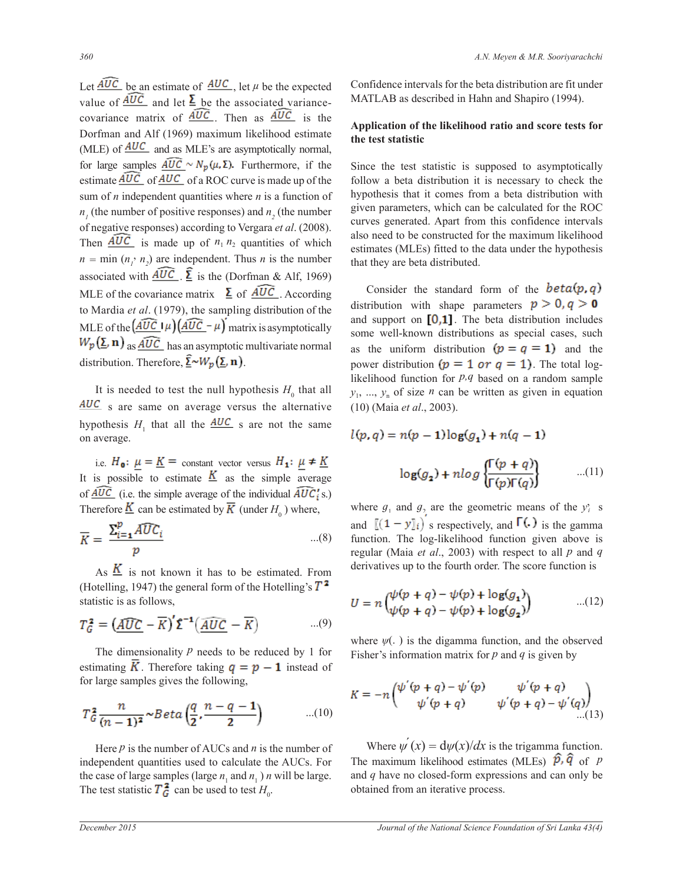Let  $\widehat{AUC}$  be an estimate of  $\widehat{AUC}$ , let  $\mu$  be the expected value of  $\widehat{AUC}$  and let  $\overline{\Sigma}$  be the associated variancecovariance matrix of  $\widehat{AUC}$ . Then as  $\widehat{AUC}$  is the Dorfman and Alf (1969) maximum likelihood estimate (MLE) of  $\frac{AUC}{AUC}$  and as MLE's are asymptotically normal, for large samples  $\widehat{AUC} \sim N_p(\mu, \Sigma)$ . Furthermore, if the estimate  $\widehat{AUC}$  of  $\widehat{AUC}$  of a ROC curve is made up of the sum of *n* independent quantities where *n* is a function of  $n<sub>1</sub>$  (the number of positive responses) and  $n<sub>2</sub>$  (the number of negative responses) according to Vergara *et al*. (2008). Then  $\overline{AUC}$  is made up of  $n_1 n_2$  quantities of which  $n = \min(n_1, n_2)$  are independent. Thus *n* is the number associated with  $\overline{AUC}$ .  $\overline{\Sigma}$  is the (Dorfman & Alf, 1969) MLE of the covariance matrix  $\sum$  of  $\widehat{AUC}$ . According to Mardia *et al*. (1979), the sampling distribution of the MLE of the  $\left(\widehat{AUC}\right)\mu\left(\widehat{AUC}-\mu\right)$  matrix is asymptotically  $W_p(\Sigma, n)$  as  $\widehat{AUC}$  has an asymptotic multivariate normal distribution. Therefore,  $\underline{\hat{\Sigma}} \sim W_p(\underline{\Sigma}, \mathbf{n})$ .

It is needed to test the null hypothesis  $H_0$  that all AUC s are same on average versus the alternative hypothesis  $H_1$  that all the  $AUC$  s are not the same on average.

i.e.  $H_0: \mu = \underline{K}$  = constant vector versus  $H_1: \mu \neq \underline{K}$ It is possible to estimate  $K$  as the simple average of  $\widehat{AUC}$  (i.e. the simple average of the individual  $\widehat{AUC_i}$ 's.) Therefore  $\underline{\mathbf{K}}$  can be estimated by  $\mathbf{K}$  (under  $H_0$ ) where,

$$
\overline{K} = \frac{\sum_{i=1}^{p} \widehat{AUC_i}}{p} \qquad \qquad \dots (8)
$$

As  $\overline{K}$  is not known it has to be estimated. From (Hotelling, 1947) the general form of the Hotelling's  $T^2$ statistic is as follows,

$$
T_G^2 = \left(\underline{\widehat{AUC}} - \overline{K}\right)' \Sigma^{-1} \left(\underline{\widehat{AUC}} - \overline{K}\right) \tag{9}
$$

The dimensionality  *needs to be reduced by 1 for* estimating **K**. Therefore taking  $q = p - 1$  instead of for large samples gives the following,

$$
T_G^2 \frac{n}{(n-1)^2} \sim Beta\left(\frac{q}{2}, \frac{n-q-1}{2}\right) \qquad \qquad ...(10)
$$

Here  *is the number of AUCs and*  $*n*$  *is the number of* independent quantities used to calculate the AUCs. For the case of large samples (large  $n_1$  and  $n_1$ ) *n* will be large. The test statistic  $T_{\mathbf{G}}^2$  can be used to test  $H_0$ .

Confidence intervals for the beta distribution are fit under MATLAB as described in Hahn and Shapiro (1994).

## **Application of the likelihood ratio and score tests for the test statistic**

Since the test statistic is supposed to asymptotically follow a beta distribution it is necessary to check the hypothesis that it comes from a beta distribution with given parameters, which can be calculated for the ROC curves generated. Apart from this confidence intervals also need to be constructed for the maximum likelihood estimates (MLEs) fitted to the data under the hypothesis that they are beta distributed.

Consider the standard form of the **beta** $(p, q)$ distribution with shape parameters  $p > 0$ ,  $q > 0$ and support on  $[0,1]$ . The beta distribution includes some well-known distributions as special cases, such as the uniform distribution  $(p = q = 1)$  and the power distribution  $(p = 1 \text{ or } q = 1)$ . The total loglikelihood function for *p,q* based on a random sample  $y_1, \ldots, y_n$  of size *n* can be written as given in equation (10) (Maia *et al*., 2003).

$$
l(p,q) = n(p-1)\log(g_1) + n(q-1)
$$

$$
\log(g_2) + n\log\left\{\frac{\Gamma(p+q)}{\Gamma(p)\Gamma(q)}\right\} \qquad ...(11)
$$

where  $g_1$  and  $g_2$  are the geometric means of the  $y_i$  s and  $[(1 - y)]_i$  s respectively, and  $\Gamma(.)$  is the gamma function. The log-likelihood function given above is regular (Maia *et al*., 2003) with respect to all *p* and *q* derivatives up to the fourth order. The score function is

$$
U = n \begin{pmatrix} \psi(p+q) - \psi(p) + \log(g_1) \\ \psi(p+q) - \psi(p) + \log(g_2) \end{pmatrix} \tag{12}
$$

where  $\psi$ (.) is the digamma function, and the observed Fisher's information matrix for *p* and *q* is given by

$$
K = -n \begin{pmatrix} \psi'(p+q) - \psi'(p) & \psi'(p+q) \\ \psi'(p+q) & \psi'(p+q) - \psi'(q) \end{pmatrix}
$$
  
...(10)

Where  $\psi'(x) = d\psi(x)/dx$  is the trigamma function. The maximum likelihood estimates (MLEs)  $\hat{p}, \hat{q}$  of *p* and *q* have no closed-form expressions and can only be obtained from an iterative process.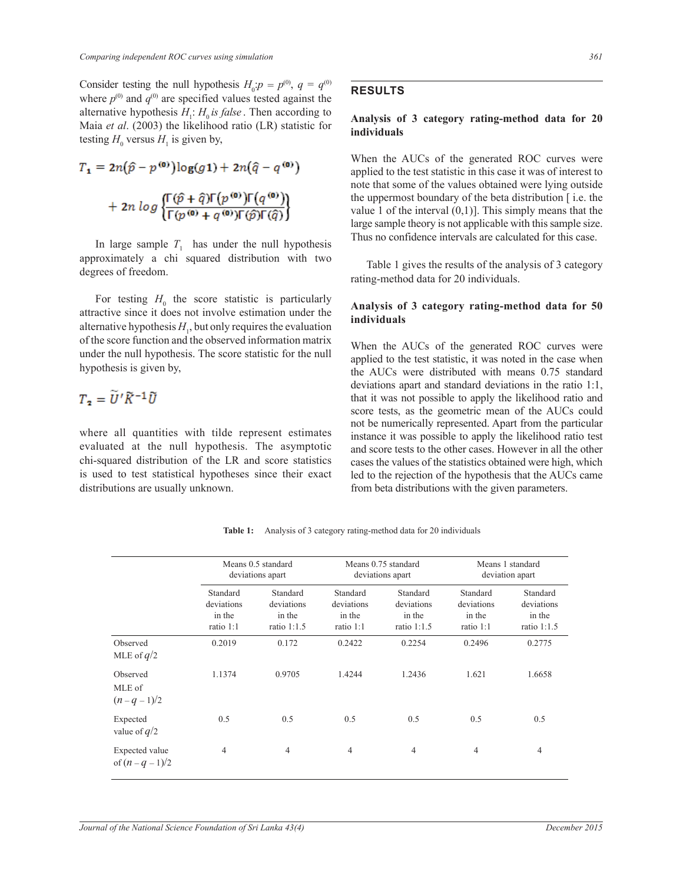Consider testing the null hypothesis  $H_0$ : $p = p^{(0)}$ ,  $q = q^{(0)}$ where  $p^{(0)}$  and  $q^{(0)}$  are specified values tested against the alternative hypothesis  $H_1$ :  $H_0$  *is false*. Then according to Maia *et al*. (2003) the likelihood ratio (LR) statistic for testing  $H_0$  versus  $H_1$  is given by,

$$
T_1 = 2n(\hat{p} - p^{\text{(0)}}) \log(g_1) + 2n(\hat{q} - q^{\text{(0)}})
$$

$$
+ 2n \log \left\{ \frac{\Gamma(\hat{p} + \hat{q}) \Gamma(p^{\text{(0)}}) \Gamma(q^{\text{(0)}})}{\Gamma(p^{\text{(0)}} + q^{\text{(0)}}) \Gamma(\hat{p}) \Gamma(\hat{q})} \right\}
$$

In large sample  $T_1$  has under the null hypothesis approximately a chi squared distribution with two degrees of freedom.

For testing  $H_0$  the score statistic is particularly attractive since it does not involve estimation under the alternative hypothesis  $H_1$ , but only requires the evaluation of the score function and the observed information matrix under the null hypothesis. The score statistic for the null hypothesis is given by,

$$
T_2 = U'\widetilde{K}^{-1}\widetilde{U}
$$

where all quantities with tilde represent estimates evaluated at the null hypothesis. The asymptotic chi-squared distribution of the LR and score statistics is used to test statistical hypotheses since their exact distributions are usually unknown.

## **RESULTS**

#### **Analysis of 3 category rating-method data for 20 individuals**

When the AUCs of the generated ROC curves were applied to the test statistic in this case it was of interest to note that some of the values obtained were lying outside the uppermost boundary of the beta distribution [ i.e. the value 1 of the interval  $(0,1)$ . This simply means that the large sample theory is not applicable with this sample size. Thus no confidence intervals are calculated for this case.

 Table 1 gives the results of the analysis of 3 category rating-method data for 20 individuals.

### **Analysis of 3 category rating-method data for 50 individuals**

When the AUCs of the generated ROC curves were applied to the test statistic, it was noted in the case when the AUCs were distributed with means 0.75 standard deviations apart and standard deviations in the ratio 1:1, that it was not possible to apply the likelihood ratio and score tests, as the geometric mean of the AUCs could not be numerically represented. Apart from the particular instance it was possible to apply the likelihood ratio test and score tests to the other cases. However in all the other cases the values of the statistics obtained were high, which led to the rejection of the hypothesis that the AUCs came from beta distributions with the given parameters.

Means 0.5 standard Means 0.75 standard Means 1 standard deviations apart deviations apart deviation apart Standard Standard Standard Standard Standard Standard deviations deviations deviations deviations deviations deviations in the in the in the in the in the in the in the in the in the in the in the in the in the in the in the in the ratio 1:1 ratio 1:1.5 ratio 1:1 ratio 1:1.5 ratio 1:1 ratio 1:1.5 Observed 0.2019 0.172 0.2422 0.2254 0.2496 0.2775 MLE of *q*/2 Observed 1.1374 0.9705 1.4244 1.2436 1.621 1.6658 MLE of  $(n - q - 1)/2$ Expected 0.5 0.5 0.5 0.5 0.5 0.5 0.5 0.5 value of *q*/2 Expected value 4 4 4 4 4 4 of  $(n - q - 1)/2$ 

**Table 1:** Analysis of 3 category rating-method data for 20 individuals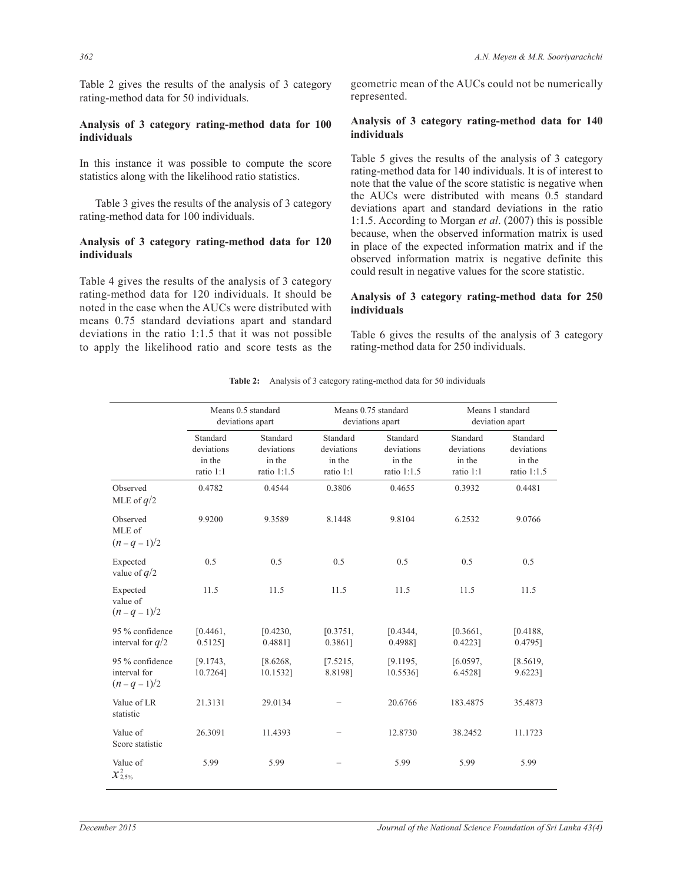Table 2 gives the results of the analysis of 3 category rating-method data for 50 individuals.

## **Analysis of 3 category rating-method data for 100 individuals**

In this instance it was possible to compute the score statistics along with the likelihood ratio statistics.

 Table 3 gives the results of the analysis of 3 category rating-method data for 100 individuals.

## **Analysis of 3 category rating-method data for 120 individuals**

Table 4 gives the results of the analysis of 3 category rating-method data for 120 individuals. It should be noted in the case when the AUCs were distributed with means 0.75 standard deviations apart and standard deviations in the ratio 1:1.5 that it was not possible to apply the likelihood ratio and score tests as the

geometric mean of the AUCs could not be numerically represented.

#### **Analysis of 3 category rating-method data for 140 individuals**

Table 5 gives the results of the analysis of 3 category rating-method data for 140 individuals. It is of interest to note that the value of the score statistic is negative when the AUCs were distributed with means 0.5 standard deviations apart and standard deviations in the ratio 1:1.5. According to Morgan *et al*. (2007) this is possible because, when the observed information matrix is used in place of the expected information matrix and if the observed information matrix is negative definite this could result in negative values for the score statistic.

## **Analysis of 3 category rating-method data for 250 individuals**

Table 6 gives the results of the analysis of 3 category rating-method data for 250 individuals.

**Table 2:** Analysis of 3 category rating-method data for 50 individuals

|                                                    | Means 0.5 standard<br>deviations apart        |                                                 |                                               | Means 0.75 standard<br>deviations apart         | Means 1 standard<br>deviation apart           |                                                 |
|----------------------------------------------------|-----------------------------------------------|-------------------------------------------------|-----------------------------------------------|-------------------------------------------------|-----------------------------------------------|-------------------------------------------------|
|                                                    | Standard<br>deviations<br>in the<br>ratio 1:1 | Standard<br>deviations<br>in the<br>ratio 1:1.5 | Standard<br>deviations<br>in the<br>ratio 1:1 | Standard<br>deviations<br>in the<br>ratio 1:1.5 | Standard<br>deviations<br>in the<br>ratio 1:1 | Standard<br>deviations<br>in the<br>ratio 1:1.5 |
| Observed<br>MLE of $q/2$                           | 0.4782                                        | 0.4544                                          | 0.3806                                        | 0.4655                                          | 0.3932                                        | 0.4481                                          |
| Observed<br>MLE of<br>$(n - q - 1)/2$              | 9.9200                                        | 9.3589                                          | 8.1448                                        | 9.8104                                          | 6.2532                                        | 9.0766                                          |
| Expected<br>value of $q/2$                         | 0.5                                           | 0.5                                             | 0.5                                           | 0.5                                             | 0.5                                           | 0.5                                             |
| Expected<br>value of<br>$(n - q - 1)/2$            | 11.5                                          | 11.5                                            | 11.5                                          | 11.5                                            | 11.5                                          | 11.5                                            |
| 95 % confidence<br>interval for $q/2$              | [0.4461]<br>$0.5125$ ]                        | [0.4230,<br>0.4881]                             | [0.3751,<br>0.3861]                           | [0.4344]<br>0.4988]                             | [0.3661,<br>$0.4223$ ]                        | [0.4188,<br>0.4795]                             |
| 95 % confidence<br>interval for<br>$(n - q - 1)/2$ | [9.1743,<br>10.72641                          | [8.6268,<br>10.1532]                            | [7.5215,<br>8.8198]                           | [9.1195,<br>10.55361                            | [6.0597,<br>6.4528]                           | [8.5619,<br>9.6223]                             |
| Value of LR<br>statistic                           | 21.3131                                       | 29.0134                                         |                                               | 20.6766                                         | 183.4875                                      | 35.4873                                         |
| Value of<br>Score statistic                        | 26.3091                                       | 11.4393                                         |                                               | 12.8730                                         | 38.2452                                       | 11.1723                                         |
| Value of<br>$x_{2,5\%}^2$                          | 5.99                                          | 5.99                                            |                                               | 5.99                                            | 5.99                                          | 5.99                                            |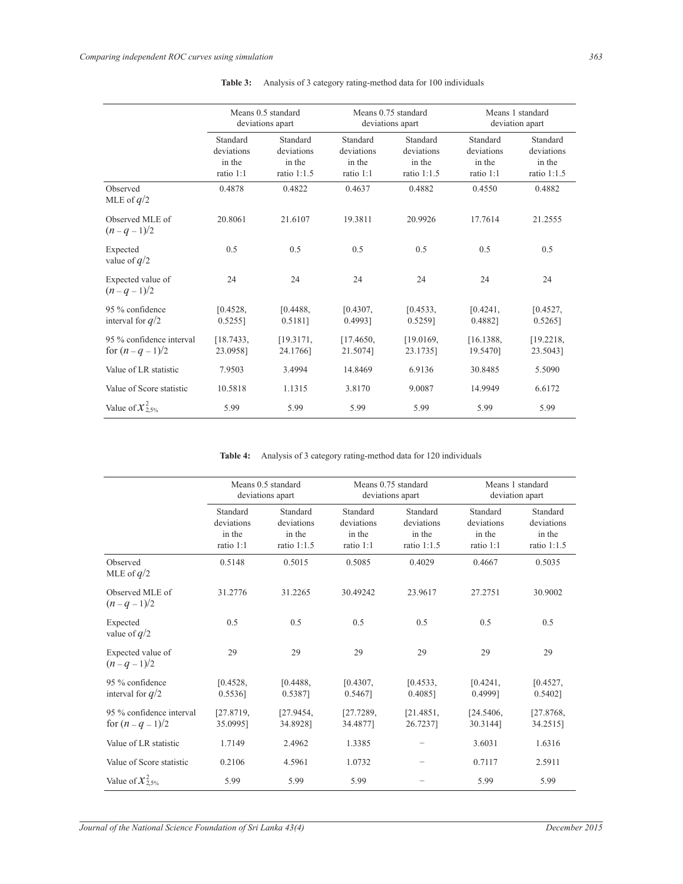|                                                 | Means 0.5 standard<br>deviations apart        |                                                   | Means 0.75 standard<br>deviations apart       |                                                   | Means 1 standard<br>deviation apart           |                                                   |
|-------------------------------------------------|-----------------------------------------------|---------------------------------------------------|-----------------------------------------------|---------------------------------------------------|-----------------------------------------------|---------------------------------------------------|
|                                                 | Standard<br>deviations<br>in the<br>ratio 1:1 | Standard<br>deviations<br>in the<br>ratio $1:1.5$ | Standard<br>deviations<br>in the<br>ratio 1:1 | Standard<br>deviations<br>in the<br>ratio $1:1.5$ | Standard<br>deviations<br>in the<br>ratio 1:1 | Standard<br>deviations<br>in the<br>ratio $1:1.5$ |
| Observed<br>MLE of $q/2$                        | 0.4878                                        | 0.4822                                            | 0.4637                                        | 0.4882                                            | 0.4550                                        | 0.4882                                            |
| Observed MLE of<br>$(n - q - 1)/2$              | 20.8061                                       | 21.6107                                           | 19.3811                                       | 20.9926                                           | 17.7614                                       | 21.2555                                           |
| Expected<br>value of $q/2$                      | 0.5                                           | 0.5                                               | 0.5                                           | 0.5                                               | 0.5                                           | 0.5                                               |
| Expected value of<br>$(n - q - 1)/2$            | 24                                            | 24                                                | 24                                            | 24                                                | 24                                            | 24                                                |
| 95 % confidence<br>interval for $q/2$           | [0.4528,<br>$0.5255$ ]                        | [0.4488]<br>$0.5181$ ]                            | [0.4307]<br>0.4993]                           | [0.4533,<br>0.5259]                               | [0.4241]<br>0.4882]                           | [0.4527,<br>0.5265                                |
| 95 % confidence interval<br>for $(n - q - 1)/2$ | [18.7433]<br>23.0958]                         | [19.3171,<br>24.1766]                             | [17.4650,<br>21.5074]                         | [19.0169,<br>23.1735]                             | [16.1388,<br>19.5470]                         | [19.2218,<br>23.50431                             |
| Value of LR statistic                           | 7.9503                                        | 3.4994                                            | 14.8469                                       | 6.9136                                            | 30.8485                                       | 5.5090                                            |
| Value of Score statistic                        | 10.5818                                       | 1.1315                                            | 3.8170                                        | 9.0087                                            | 14.9949                                       | 6.6172                                            |
| Value of $\chi^2_{2.5\%}$                       | 5.99                                          | 5.99                                              | 5.99                                          | 5.99                                              | 5.99                                          | 5.99                                              |

**Table 3:** Analysis of 3 category rating-method data for 100 individuals

**Table 4:** Analysis of 3 category rating-method data for 120 individuals

|                                                 | Means 0.5 standard<br>deviations apart        |                                                   | Means 0.75 standard<br>deviations apart       |                                                   | Means 1 standard<br>deviation apart           |                                                 |
|-------------------------------------------------|-----------------------------------------------|---------------------------------------------------|-----------------------------------------------|---------------------------------------------------|-----------------------------------------------|-------------------------------------------------|
|                                                 | Standard<br>deviations<br>in the<br>ratio 1:1 | Standard<br>deviations<br>in the<br>ratio $1:1.5$ | Standard<br>deviations<br>in the<br>ratio 1:1 | Standard<br>deviations<br>in the<br>ratio $1:1.5$ | Standard<br>deviations<br>in the<br>ratio 1:1 | Standard<br>deviations<br>in the<br>ratio 1:1.5 |
| Observed<br>MLE of $q/2$                        | 0.5148                                        | 0.5015                                            | 0.5085                                        | 0.4029                                            | 0.4667                                        | 0.5035                                          |
| Observed MLE of<br>$(n - q - 1)/2$              | 31.2776                                       | 31.2265                                           | 30.49242                                      | 23.9617                                           | 27.2751                                       | 30.9002                                         |
| Expected<br>value of $q/2$                      | 0.5                                           | 0.5                                               | 0.5                                           | 0.5                                               | 0.5                                           | 0.5                                             |
| Expected value of<br>$(n - q - 1)/2$            | 29                                            | 29                                                | 29                                            | 29                                                | 29                                            | 29                                              |
| 95 % confidence<br>interval for $q/2$           | [0.4528,<br>0.55361                           | [0.4488]<br>0.53871                               | [0.4307,<br>0.54671                           | [0.4533]<br>0.4085]                               | [0.4241]<br>0.4999]                           | [0.4527,<br>0.54021                             |
| 95 % confidence interval<br>for $(n - q - 1)/2$ | [27.8719]<br>35.09951                         | [27.9454]<br>34.89281                             | [27.7289]<br>34.48771                         | [21.4851]<br>26.72371                             | [24.5406]<br>30.31441                         | [27.8768]<br>34.25151                           |
| Value of LR statistic                           | 1.7149                                        | 2.4962                                            | 1.3385                                        |                                                   | 3.6031                                        | 1.6316                                          |
| Value of Score statistic                        | 0.2106                                        | 4.5961                                            | 1.0732                                        |                                                   | 0.7117                                        | 2.5911                                          |
| Value of $x_{2.5\%}^2$                          | 5.99                                          | 5.99                                              | 5.99                                          |                                                   | 5.99                                          | 5.99                                            |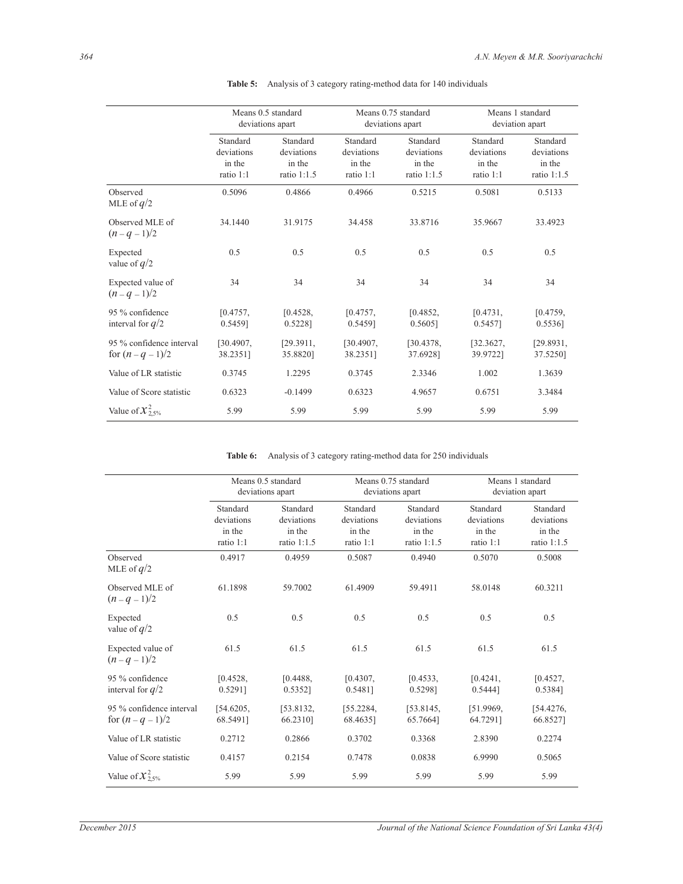|                                                 | Means 0.5 standard<br>deviations apart        |                                                   | Means 0.75 standard<br>deviations apart       |                                                 | Means 1 standard<br>deviation apart           |                                                   |
|-------------------------------------------------|-----------------------------------------------|---------------------------------------------------|-----------------------------------------------|-------------------------------------------------|-----------------------------------------------|---------------------------------------------------|
|                                                 | Standard<br>deviations<br>in the<br>ratio 1:1 | Standard<br>deviations<br>in the<br>ratio $1:1.5$ | Standard<br>deviations<br>in the<br>ratio 1:1 | Standard<br>deviations<br>in the<br>ratio 1:1.5 | Standard<br>deviations<br>in the<br>ratio 1:1 | Standard<br>deviations<br>in the<br>ratio $1:1.5$ |
| Observed<br>MLE of $q/2$                        | 0.5096                                        | 0.4866                                            | 0.4966                                        | 0.5215                                          | 0.5081                                        | 0.5133                                            |
| Observed MLE of<br>$(n - q - 1)/2$              | 34.1440                                       | 31.9175                                           | 34.458                                        | 33.8716                                         | 35.9667                                       | 33.4923                                           |
| Expected<br>value of $q/2$                      | 0.5                                           | 0.5                                               | 0.5                                           | 0.5                                             | 0.5                                           | 0.5                                               |
| Expected value of<br>$(n - q - 1)/2$            | 34                                            | 34                                                | 34                                            | 34                                              | 34                                            | 34                                                |
| 95 % confidence<br>interval for $q/2$           | [0.4757,<br>0.5459]                           | [0.4528]<br>0.5228]                               | [0.4757,<br>0.54591                           | [0.4852,<br>0.5605]                             | [0.4731]<br>0.5457]                           | [0.4759,<br>0.5536]                               |
| 95 % confidence interval<br>for $(n - q - 1)/2$ | [30.4907]<br>38.23511                         | [29.3911]<br>35.88201                             | [30.4907]<br>38.23511                         | [30.4378]<br>37.6928]                           | [32.3627,<br>39.97221                         | [29.8931]<br>37.5250]                             |
| Value of LR statistic                           | 0.3745                                        | 1.2295                                            | 0.3745                                        | 2.3346                                          | 1.002                                         | 1.3639                                            |
| Value of Score statistic                        | 0.6323                                        | $-0.1499$                                         | 0.6323                                        | 4.9657                                          | 0.6751                                        | 3.3484                                            |
| Value of $x_{2.5\%}^2$                          | 5.99                                          | 5.99                                              | 5.99                                          | 5.99                                            | 5.99                                          | 5.99                                              |

**Table 5:** Analysis of 3 category rating-method data for 140 individuals

**Table 6:** Analysis of 3 category rating-method data for 250 individuals

|                                                 | Means 0.5 standard<br>deviations apart        |                                                 | Means 0.75 standard<br>deviations apart       |                                                   | Means 1 standard<br>deviation apart           |                                                 |
|-------------------------------------------------|-----------------------------------------------|-------------------------------------------------|-----------------------------------------------|---------------------------------------------------|-----------------------------------------------|-------------------------------------------------|
|                                                 | Standard<br>deviations<br>in the<br>ratio 1:1 | Standard<br>deviations<br>in the<br>ratio 1:1.5 | Standard<br>deviations<br>in the<br>ratio 1:1 | Standard<br>deviations<br>in the<br>ratio $1:1.5$ | Standard<br>deviations<br>in the<br>ratio 1:1 | Standard<br>deviations<br>in the<br>ratio 1:1.5 |
| Observed<br>MLE of $q/2$                        | 0.4917                                        | 0.4959                                          | 0.5087                                        | 0.4940                                            | 0.5070                                        | 0.5008                                          |
| Observed MLE of<br>$(n - q - 1)/2$              | 61.1898                                       | 59.7002                                         | 61.4909                                       | 59.4911                                           | 58.0148                                       | 60.3211                                         |
| Expected<br>value of $q/2$                      | 0.5                                           | 0.5                                             | 0.5                                           | 0.5                                               | 0.5                                           | 0.5                                             |
| Expected value of<br>$(n - q - 1)/2$            | 61.5                                          | 61.5                                            | 61.5                                          | 61.5                                              | 61.5                                          | 61.5                                            |
| 95 % confidence<br>interval for $q/2$           | [0.4528,<br>$0.5291$ ]                        | [0.4488]<br>$0.5352$ ]                          | [0.4307,<br>$0.5481$ ]                        | [0.4533,<br>0.5298]                               | [0.4241,<br>$0.5444$ ]                        | [0.4527,<br>0.5384]                             |
| 95 % confidence interval<br>for $(n - q - 1)/2$ | [54.6205,<br>68.5491]                         | [53.8132]<br>66.2310]                           | [55.2284,<br>68.46351                         | [53.8145,<br>65.76641                             | [51.9969]<br>64.72911                         | [54.4276,<br>66.85271                           |
| Value of LR statistic                           | 0.2712                                        | 0.2866                                          | 0.3702                                        | 0.3368                                            | 2.8390                                        | 0.2274                                          |
| Value of Score statistic                        | 0.4157                                        | 0.2154                                          | 0.7478                                        | 0.0838                                            | 6.9990                                        | 0.5065                                          |
| Value of $\chi^2_{2.5\%}$                       | 5.99                                          | 5.99                                            | 5.99                                          | 5.99                                              | 5.99                                          | 5.99                                            |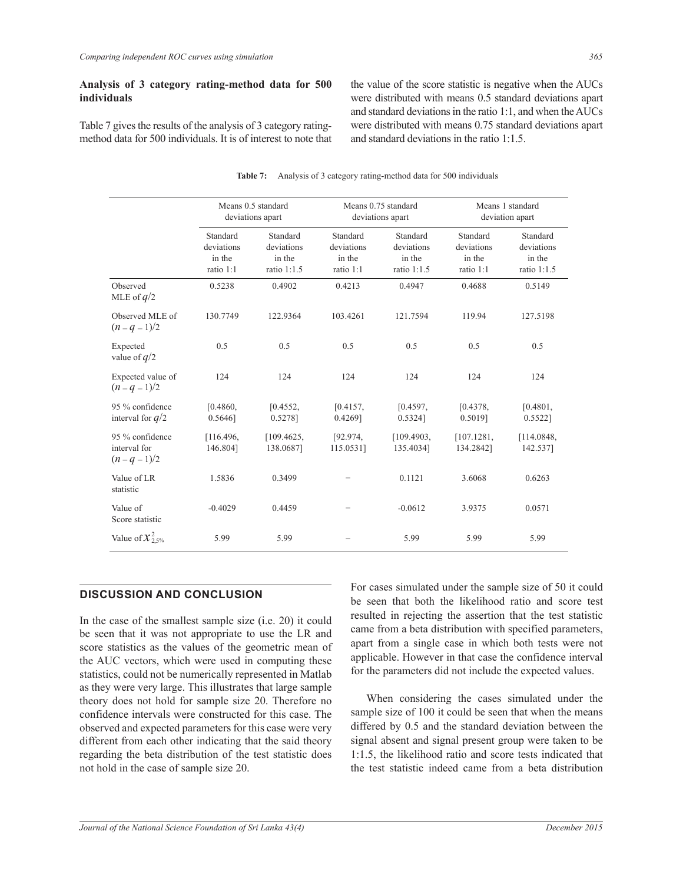## **Analysis of 3 category rating-method data for 500 individuals**

Table 7 gives the results of the analysis of 3 category ratingmethod data for 500 individuals. It is of interest to note that the value of the score statistic is negative when the AUCs were distributed with means 0.5 standard deviations apart and standard deviations in the ratio 1:1, and when the AUCs were distributed with means 0.75 standard deviations apart and standard deviations in the ratio 1:1.5.

|                                                    | Means 0.5 standard<br>deviations apart        |                                                   | Means 0.75 standard<br>deviations apart       |                                                   | Means 1 standard<br>deviation apart           |                                                 |
|----------------------------------------------------|-----------------------------------------------|---------------------------------------------------|-----------------------------------------------|---------------------------------------------------|-----------------------------------------------|-------------------------------------------------|
|                                                    | Standard<br>deviations<br>in the<br>ratio 1:1 | Standard<br>deviations<br>in the<br>ratio $1:1.5$ | Standard<br>deviations<br>in the<br>ratio 1:1 | Standard<br>deviations<br>in the<br>ratio $1:1.5$ | Standard<br>deviations<br>in the<br>ratio 1:1 | Standard<br>deviations<br>in the<br>ratio 1:1.5 |
| Observed<br>MLE of $q/2$                           | 0.5238                                        | 0.4902                                            | 0.4213                                        | 0.4947                                            | 0.4688                                        | 0.5149                                          |
| Observed MLE of<br>$(n - q - 1)/2$                 | 130.7749                                      | 122.9364                                          | 103.4261                                      | 121.7594                                          | 119.94                                        | 127.5198                                        |
| Expected<br>value of $q/2$                         | 0.5                                           | 0.5                                               | 0.5                                           | 0.5                                               | 0.5                                           | 0.5                                             |
| Expected value of<br>$(n - q - 1)/2$               | 124                                           | 124                                               | 124                                           | 124                                               | 124                                           | 124                                             |
| 95 % confidence<br>interval for $q/2$              | [0.4860,<br>0.5646                            | [0.4552,<br>0.5278]                               | [0.4157,<br>0.4269]                           | [0.4597,<br>0.5324]                               | [0.4378,<br>0.5019]                           | [0.4801,<br>$0.5522$ ]                          |
| 95 % confidence<br>interval for<br>$(n - q - 1)/2$ | [116.496,<br>146.804]                         | [109.4625,<br>138.0687]                           | [92.974]<br>115.0531]                         | [109.4903]<br>135.40341                           | [107.1281,<br>134.2842]                       | [114.0848,<br>142.537]                          |
| Value of LR<br>statistic                           | 1.5836                                        | 0.3499                                            |                                               | 0.1121                                            | 3.6068                                        | 0.6263                                          |
| Value of<br>Score statistic                        | $-0.4029$                                     | 0.4459                                            |                                               | $-0.0612$                                         | 3.9375                                        | 0.0571                                          |
| Value of $\chi^2_{2.5\%}$                          | 5.99                                          | 5.99                                              |                                               | 5.99                                              | 5.99                                          | 5.99                                            |

#### **Table 7:** Analysis of 3 category rating-method data for 500 individuals

## **DISCUSSION AND CONCLUSION**

In the case of the smallest sample size (i.e. 20) it could be seen that it was not appropriate to use the LR and score statistics as the values of the geometric mean of the AUC vectors, which were used in computing these statistics, could not be numerically represented in Matlab as they were very large. This illustrates that large sample theory does not hold for sample size 20. Therefore no confidence intervals were constructed for this case. The observed and expected parameters for this case were very different from each other indicating that the said theory regarding the beta distribution of the test statistic does not hold in the case of sample size 20.

For cases simulated under the sample size of 50 it could be seen that both the likelihood ratio and score test resulted in rejecting the assertion that the test statistic came from a beta distribution with specified parameters, apart from a single case in which both tests were not applicable. However in that case the confidence interval for the parameters did not include the expected values.

 When considering the cases simulated under the sample size of 100 it could be seen that when the means differed by 0.5 and the standard deviation between the signal absent and signal present group were taken to be 1:1.5, the likelihood ratio and score tests indicated that the test statistic indeed came from a beta distribution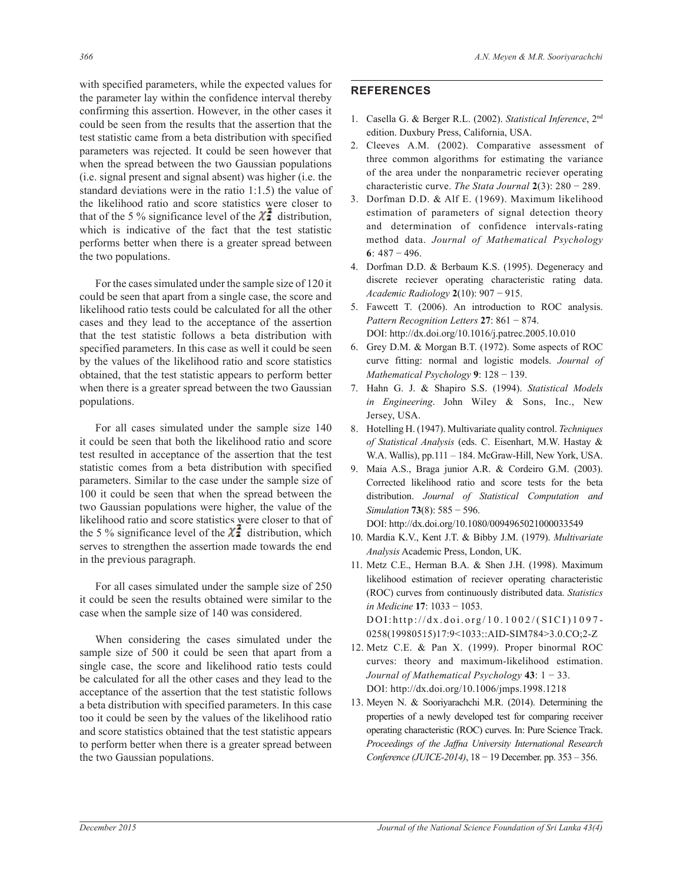with specified parameters, while the expected values for the parameter lay within the confidence interval thereby confirming this assertion. However, in the other cases it could be seen from the results that the assertion that the test statistic came from a beta distribution with specified parameters was rejected. It could be seen however that when the spread between the two Gaussian populations (i.e. signal present and signal absent) was higher (i.e. the standard deviations were in the ratio 1:1.5) the value of the likelihood ratio and score statistics were closer to that of the 5 % significance level of the  $\chi^2$  distribution, which is indicative of the fact that the test statistic performs better when there is a greater spread between the two populations.

 For the cases simulated under the sample size of 120 it could be seen that apart from a single case, the score and likelihood ratio tests could be calculated for all the other cases and they lead to the acceptance of the assertion that the test statistic follows a beta distribution with specified parameters. In this case as well it could be seen by the values of the likelihood ratio and score statistics obtained, that the test statistic appears to perform better when there is a greater spread between the two Gaussian populations.

 For all cases simulated under the sample size 140 it could be seen that both the likelihood ratio and score test resulted in acceptance of the assertion that the test statistic comes from a beta distribution with specified parameters. Similar to the case under the sample size of 100 it could be seen that when the spread between the two Gaussian populations were higher, the value of the likelihood ratio and score statistics were closer to that of the 5 % significance level of the  $\chi^2$  distribution, which serves to strengthen the assertion made towards the end in the previous paragraph.

 For all cases simulated under the sample size of 250 it could be seen the results obtained were similar to the case when the sample size of 140 was considered.

 When considering the cases simulated under the sample size of 500 it could be seen that apart from a single case, the score and likelihood ratio tests could be calculated for all the other cases and they lead to the acceptance of the assertion that the test statistic follows a beta distribution with specified parameters. In this case too it could be seen by the values of the likelihood ratio and score statistics obtained that the test statistic appears to perform better when there is a greater spread between the two Gaussian populations.

## **REFERENCES**

- 1. Casella G. & Berger R.L. (2002). *Statistical Inference*, 2nd edition. Duxbury Press, California, USA.
- 2. Cleeves A.M. (2002). Comparative assessment of three common algorithms for estimating the variance of the area under the nonparametric reciever operating characteristic curve. *The Stata Journal* **2**(3): 280 − 289.
- 3. Dorfman D.D. & Alf E. (1969). Maximum likelihood estimation of parameters of signal detection theory and determination of confidence intervals-rating method data. *Journal of Mathematical Psychology* **6**: 487 − 496.
- 4. Dorfman D.D. & Berbaum K.S. (1995). Degeneracy and discrete reciever operating characteristic rating data. *Academic Radiology* **2**(10): 907 − 915.
- 5. Fawcett T. (2006). An introduction to ROC analysis. *Pattern Recognition Letters* **27**: 861 − 874. DOI: http://dx.doi.org/10.1016/j.patrec.2005.10.010
- 6. Grey D.M. & Morgan B.T. (1972). Some aspects of ROC curve fitting: normal and logistic models. *Journal of Mathematical Psychology* **9**: 128 − 139.
- 7. Hahn G. J. & Shapiro S.S. (1994). *Statistical Models in Engineering*. John Wiley & Sons, Inc., New Jersey, USA.
- 8. Hotelling H. (1947). Multivariate quality control. *Techniques of Statistical Analysis* (eds. C. Eisenhart, M.W. Hastay & W.A. Wallis), pp.111 – 184. McGraw-Hill, New York, USA.
- 9. Maia A.S., Braga junior A.R. & Cordeiro G.M. (2003). Corrected likelihood ratio and score tests for the beta distribution. *Journal of Statistical Computation and Simulation* **73**(8): 585 − 596.

DOI: http://dx.doi.org/10.1080/0094965021000033549

- 10. Mardia K.V., Kent J.T. & Bibby J.M. (1979). *Multivariate Analysis* Academic Press, London, UK.
- 11. Metz C.E., Herman B.A. & Shen J.H. (1998). Maximum likelihood estimation of reciever operating characteristic (ROC) curves from continuously distributed data. *Statistics in Medicine* **17**: 1033 − 1053. DOI:http://dx.doi.org/10.1002/(SICI)1097-0258(19980515)17:9<1033::AID-SIM784>3.0.CO;2-Z
- 12. Metz C.E. & Pan X. (1999). Proper binormal ROC curves: theory and maximum-likelihood estimation. *Journal of Mathematical Psychology* **43**: 1 − 33. DOI: http://dx.doi.org/10.1006/jmps.1998.1218
- 13. Meyen N. & Sooriyarachchi M.R. (2014). Determining the properties of a newly developed test for comparing receiver operating characteristic (ROC) curves. In: Pure Science Track. *Proceedings of the Jaffna University International Research Conference (JUICE-2014)*, 18 − 19 December. pp. 353 – 356.